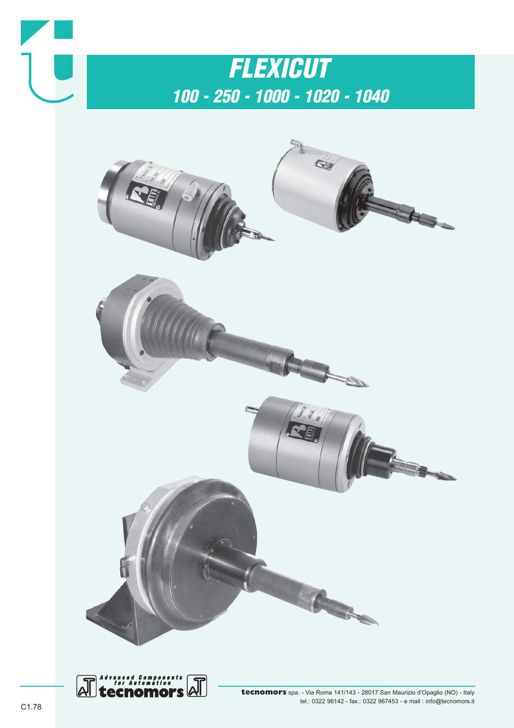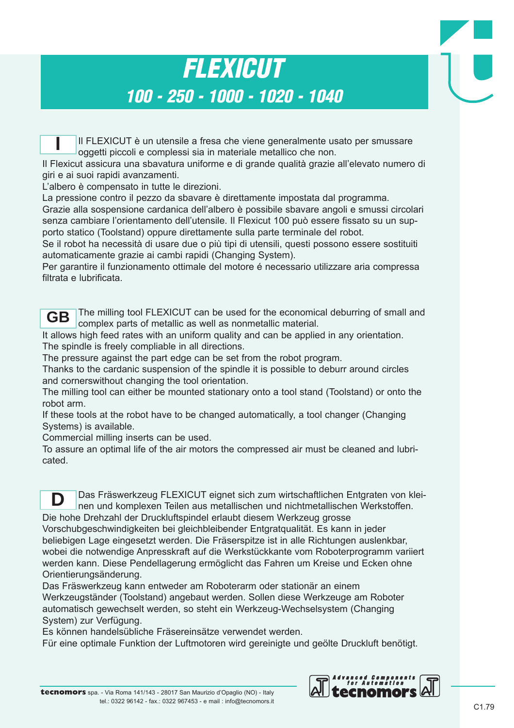### *FLEXICUT 100 - 250 - 1000 - 1020 - 1040*

Il FLEXICUT è un utensile a fresa che viene generalmente usato per smussare oggetti piccoli e complessi sia in materiale metallico che non. **I**

Il Flexicut assicura una sbavatura uniforme e di grande qualità grazie all'elevato numero di giri e ai suoi rapidi avanzamenti.

L'albero è compensato in tutte le direzioni.

La pressione contro il pezzo da sbavare è direttamente impostata dal programma.

Grazie alla sospensione cardanica dell'albero è possibile sbavare angoli e smussi circolari senza cambiare l'orientamento dell'utensile. Il Flexicut 100 può essere fissato su un supporto statico (Toolstand) oppure direttamente sulla parte terminale del robot.

Se il robot ha necessità di usare due o più tipi di utensili, questi possono essere sostituiti automaticamente grazie ai cambi rapidi (Changing System).

Per garantire il funzionamento ottimale del motore é necessario utilizzare aria compressa filtrata e lubrificata.



The milling tool FLEXICUT can be used for the economical deburring of small and complex parts of metallic as well as nonmetallic material.

It allows high feed rates with an uniform quality and can be applied in any orientation. The spindle is freely compliable in all directions.

The pressure against the part edge can be set from the robot program.

Thanks to the cardanic suspension of the spindle it is possible to deburr around circles and cornerswithout changing the tool orientation.

The milling tool can either be mounted stationary onto a tool stand (Toolstand) or onto the robot arm.

If these tools at the robot have to be changed automatically, a tool changer (Changing Systems) is available.

Commercial milling inserts can be used.

To assure an optimal life of the air motors the compressed air must be cleaned and lubricated.

Das Fräswerkzeug FLEXICUT eignet sich zum wirtschaftlichen Entgraten von kleinen und komplexen Teilen aus metallischen und nichtmetallischen Werkstoffen. Die hohe Drehzahl der Druckluftspindel erlaubt diesem Werkzeug grosse Vorschubgeschwindigkeiten bei gleichbleibender Entgratqualität. Es kann in jeder beliebigen Lage eingesetzt werden. Die Fräserspitze ist in alle Richtungen auslenkbar, **D**

wobei die notwendige Anpresskraft auf die Werkstückkante vom Roboterprogramm variiert werden kann. Diese Pendellagerung ermöglicht das Fahren um Kreise und Ecken ohne Orientierungsänderung.

Das Fräswerkzeug kann entweder am Roboterarm oder stationär an einem Werkzeugständer (Toolstand) angebaut werden. Sollen diese Werkzeuge am Roboter automatisch gewechselt werden, so steht ein Werkzeug-Wechselsystem (Changing System) zur Verfügung.

Es können handelsübliche Fräsereinsätze verwendet werden.

Für eine optimale Funktion der Luftmotoren wird gereinigte und geölte Druckluft benötigt.

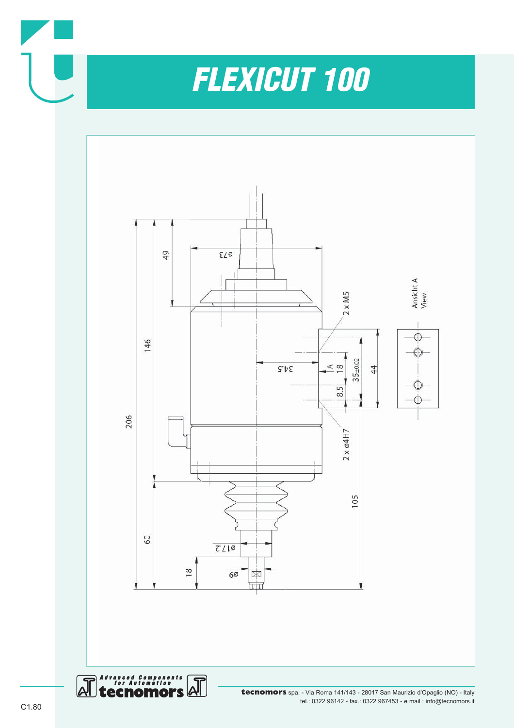



 $\overline{\mathsf{A}}$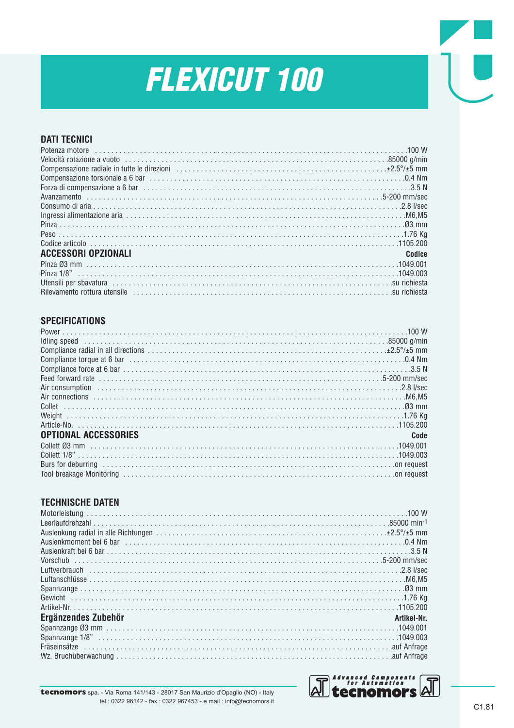#### **DATI TECNICI**

| Potenza motore in the contract of the contract of the contract of the contract of the contract of the contract of $W$ |        |
|-----------------------------------------------------------------------------------------------------------------------|--------|
|                                                                                                                       |        |
|                                                                                                                       |        |
|                                                                                                                       |        |
|                                                                                                                       |        |
|                                                                                                                       |        |
|                                                                                                                       |        |
|                                                                                                                       |        |
|                                                                                                                       |        |
|                                                                                                                       |        |
|                                                                                                                       |        |
| ACCESSORI OPZIONALI                                                                                                   | Codice |
|                                                                                                                       |        |
|                                                                                                                       |        |
|                                                                                                                       |        |
|                                                                                                                       |        |

#### **SPECIFICATIONS**

| Feed forward rate<br>Air consumption<br>2.8 I/sec                                                                                                                                                                             |      |
|-------------------------------------------------------------------------------------------------------------------------------------------------------------------------------------------------------------------------------|------|
|                                                                                                                                                                                                                               |      |
|                                                                                                                                                                                                                               |      |
|                                                                                                                                                                                                                               |      |
|                                                                                                                                                                                                                               |      |
|                                                                                                                                                                                                                               |      |
| <b>OPTIONAL ACCESSORIES</b>                                                                                                                                                                                                   | Code |
|                                                                                                                                                                                                                               |      |
|                                                                                                                                                                                                                               |      |
| Burs for deburring encouragements are not contained and request of the control of request                                                                                                                                     |      |
| Tool breakage Monitoring (and the context of the context of the context of the context of the context of the context of the context of the context of the context of the context of the context of the context of the context |      |

#### **TECHNISCHE DATEN**

| Vorschub<br>Luftverbrauch<br>1. 2.8 I/sec |             |
|-------------------------------------------|-------------|
|                                           |             |
|                                           |             |
|                                           |             |
|                                           |             |
|                                           |             |
| Ergänzendes Zubehör                       | Artikel-Nr. |
|                                           |             |
|                                           |             |
|                                           |             |
|                                           |             |
|                                           |             |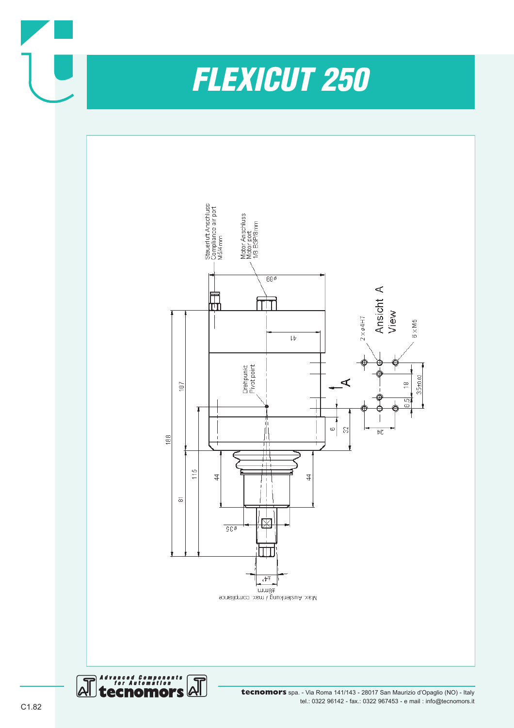



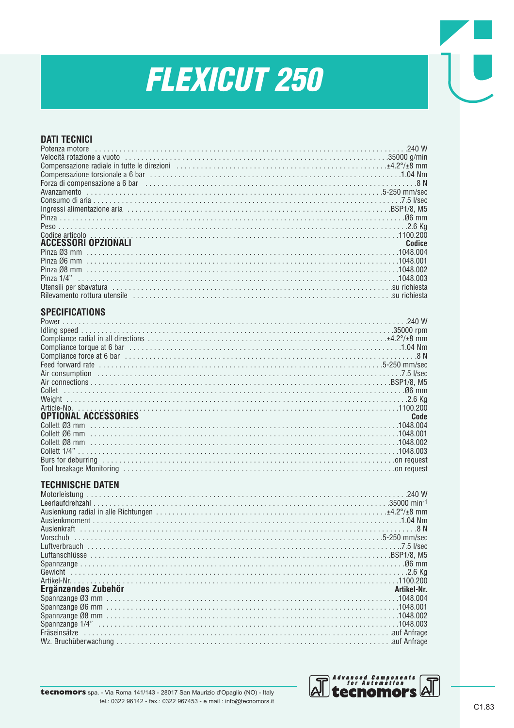#### **DATI TECNICI** Potenza motore .......  $.240W$ Compensazione radiale in tutte le direzioni<br>
Compensazione torsionale a 6 bar<br>
Compensazione torsionale a 6 bar<br>
1.04 Nm Ingressi alimentazione aria electronico established anno 1980 anno 1980 anno 1980 anno 1980 anno 1980 anno 198 Peso . . . . . . . . . . . . Codice articolo **ACCESSORI OPZIONALI** Codice Pinza 06 mm Utensili per sbavatura<br>Rilevamento rottura utensile<br>Nievamento rottura utensile **SPECIFICATIONS** Compliance torque at 6 bar entrepreneurs and continuous continuous continuous continuous continuous 1.04 Nm Feed forward rate<br>Air consumption<br>Air consumption Weight ....... Article-No. **OPTIONAL ACCESSORIES** Code Collett 03 mm 000 Collett Ø6 mm 00 1048 003 1048 003. Burs for deburring resources and contact the control of the control of the control of request

#### **TECHNISCHE DATEN**

| Ergänzendes Zubehör | Artikel-Nr. |
|---------------------|-------------|
|                     |             |
|                     |             |
|                     |             |
|                     |             |
|                     |             |
|                     |             |

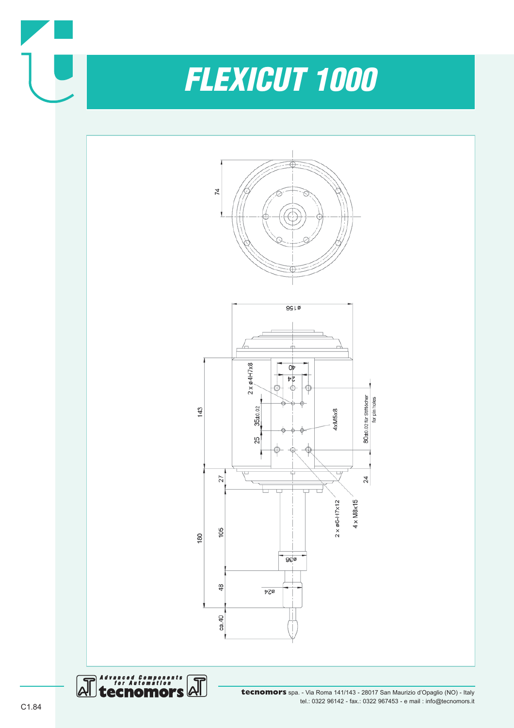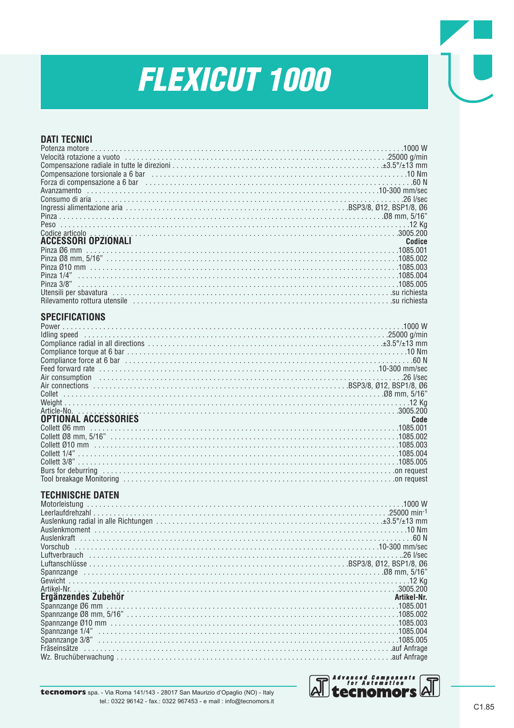#### **DATI TECNICI** Potenza motore Compensazione torsionale a 6 bar (and the compensazione torsionale a 6 bar). Pinza 3/8"<br>Pinza 3/8" Rilevamento rottura utensile e contra contra contra contra contra contra contra contra contra contra una conte **SPECIFICATIONS** Power . . . . . . . . . . . . . . . ldling speed<br>Compliance radial in all directions<br>Compliance radial in all directions<br>Compliance radial in all directions<br>Compliance radial in all directions Air consumption<br>Air consumption<br>Air connections<br>Air connections Article-No. . . . . . . . . . . . . . **OPTIONAL ACCESSORIES** Code Collett 1/4"<br>Collett 3/8"<br>Collett 3/8"<br>Burs for deburring<br>Collett 3/8"<br>Content 3/8"<br>Content 3/8"<br>Content 3/8"<br>Content 3/8"<br>Content 3/8"<br>Content 3/8"<br>Content in the set of a part of the burst of the set of the set of the se **TECHNISCHE DATEN** 1000 W Leerlaufdrehzahl<br>Auslenkung radial in alle Richtungen<br>Auslenkung radial in alle Richtungen Auslenkmoment<br>Auslenkmoment<br>Auslenkraft Luftanschlüsse<br>
Spannzange<br>
Spannzange<br>
Magnession (1897), SSP3/8, 2012, BSP1/8, 206<br>
Spannzange Ergänzendes Zubehör Artikel-Nr. Spannzange Ø6 mm<br>Spannzange Ø6 mm<br>Spannzange Ø8 mm, 5/16"  $Spanizange 1/4"$ <br>Spannzange  $1/4"$ <br>Spannzange  $3/8"$



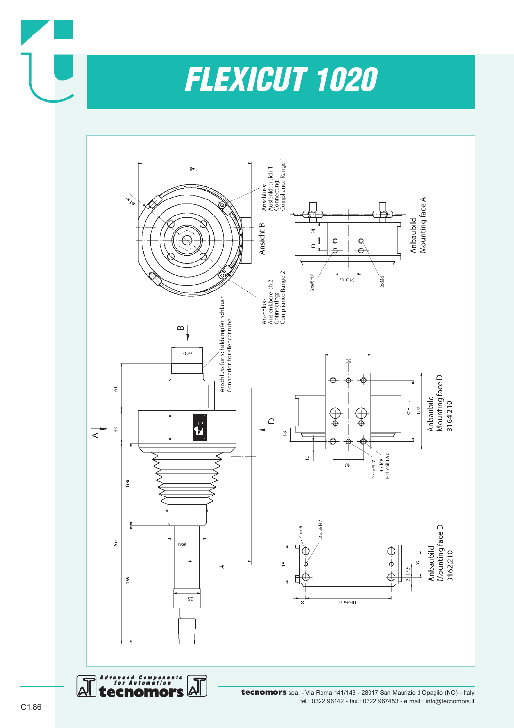



tel.: 0322 96142 - fax.: 0322 967453 - e mail : info@tecnomors.it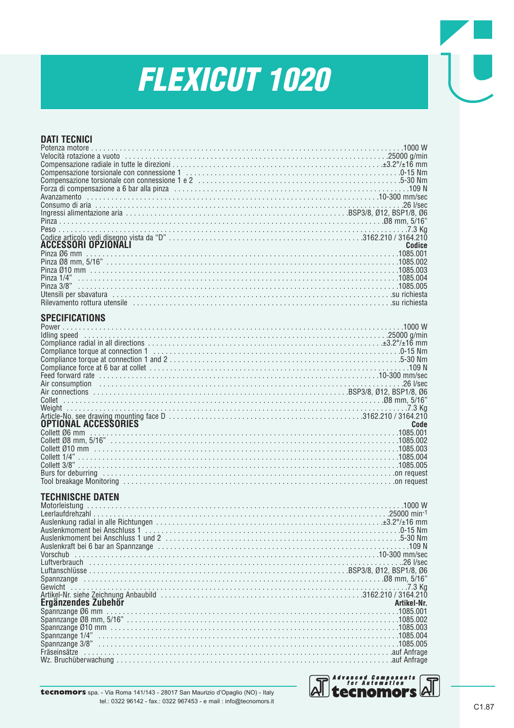| <b>DATI TECNICI</b>                                                                                           |        |
|---------------------------------------------------------------------------------------------------------------|--------|
|                                                                                                               |        |
|                                                                                                               |        |
|                                                                                                               |        |
|                                                                                                               |        |
|                                                                                                               |        |
|                                                                                                               |        |
|                                                                                                               |        |
|                                                                                                               |        |
|                                                                                                               |        |
| <b>ACCESSORI OPZIONALI</b>                                                                                    | Codice |
|                                                                                                               |        |
|                                                                                                               |        |
|                                                                                                               |        |
| Pinza 3/8"                                                                                                    |        |
|                                                                                                               |        |
|                                                                                                               |        |
|                                                                                                               |        |
| <b>SPECIFICATIONS</b>                                                                                         |        |
|                                                                                                               |        |
|                                                                                                               |        |
|                                                                                                               |        |
|                                                                                                               |        |
|                                                                                                               |        |
|                                                                                                               |        |
|                                                                                                               |        |
|                                                                                                               |        |
|                                                                                                               |        |
|                                                                                                               | Code   |
| <b>OPTIONAL ACCESSORIES</b><br>Collett Ø6 mm                                                                  |        |
|                                                                                                               |        |
|                                                                                                               |        |
|                                                                                                               |        |
| Burs for deburring encouragement of the control of the control of the control of the control of request       |        |
| Tool breakage Monitoring (and according of the control of the control of the control of request               |        |
| <b>TECHNISCHE DATEN</b>                                                                                       |        |
|                                                                                                               |        |
|                                                                                                               |        |
|                                                                                                               |        |
|                                                                                                               |        |
|                                                                                                               |        |
| Vorschub                                                                                                      |        |
|                                                                                                               |        |
| "98 mm, 5/16 mm, 5/16 mm, 5/16 mm, 5/16 mm, 5/16 mm, 5/16 mm, 5/16 mm, 5/16 mm, 5/16 mm, 5/16 mm, 5/16 mm, 5/ |        |
| .7.3 Kg                                                                                                       |        |
|                                                                                                               |        |
| Ergänzendes Zubehör<br>Artikel-Nr.                                                                            |        |
|                                                                                                               |        |
|                                                                                                               |        |
|                                                                                                               |        |
|                                                                                                               |        |
|                                                                                                               |        |
|                                                                                                               |        |



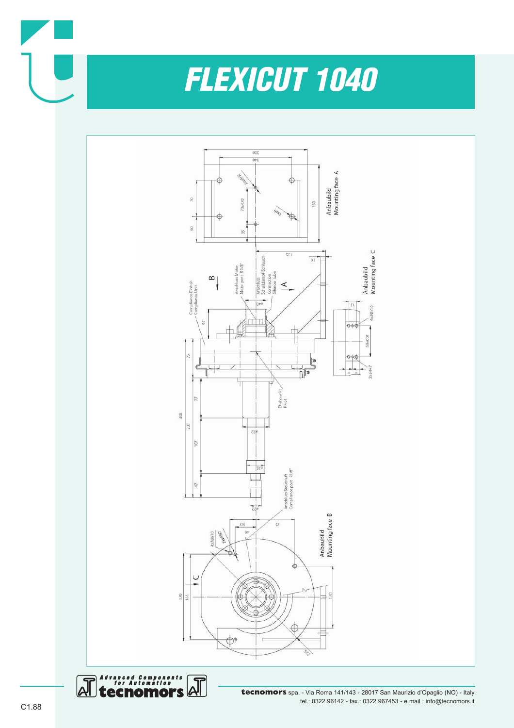



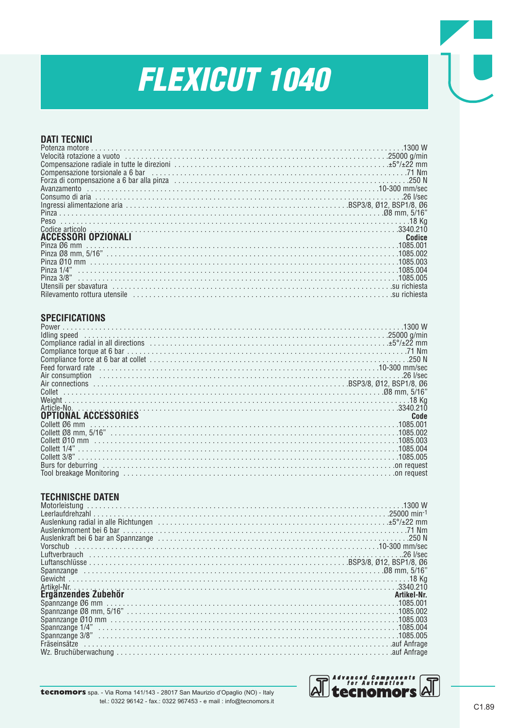#### **DATI TECNICI**

| <b>ACCESSORI OPZIONALI</b>   | Codice       |
|------------------------------|--------------|
|                              |              |
|                              |              |
|                              |              |
|                              |              |
|                              |              |
|                              |              |
| Rilevamento rottura utencile | eu richiecta |

#### **SPECIFICATIONS**

| Compliance radial in all directions contained as a series of the series of the direction of the series of the series of the series of the compliance radial in all directions contained as $\pm$ 5% $\pm$ 22 mm                |      |
|--------------------------------------------------------------------------------------------------------------------------------------------------------------------------------------------------------------------------------|------|
| T1 Nm. 71 Nm                                                                                                                                                                                                                   |      |
|                                                                                                                                                                                                                                |      |
|                                                                                                                                                                                                                                |      |
| Air consumption is accommodated by the constrainer and the consumer consumption is a set of $\ell$ sec                                                                                                                         |      |
|                                                                                                                                                                                                                                |      |
|                                                                                                                                                                                                                                |      |
|                                                                                                                                                                                                                                |      |
|                                                                                                                                                                                                                                |      |
| OPTIONAL ACCESSORIES                                                                                                                                                                                                           | Code |
|                                                                                                                                                                                                                                |      |
|                                                                                                                                                                                                                                |      |
|                                                                                                                                                                                                                                |      |
|                                                                                                                                                                                                                                |      |
|                                                                                                                                                                                                                                |      |
| Burs for deburring encouragement of the contract of the contract of the contract of the contract of the contract of the contract of the contract of the contract of the contract of the contract of the contract of the contra |      |
| Tool breakage Monitoring encourage contained a state of request                                                                                                                                                                |      |

#### **TECHNISCHE DATEN**

| huslenkung radial in alle Richtungen contained and contained and the series of the series of the series of the                                                                                                                 |             |
|--------------------------------------------------------------------------------------------------------------------------------------------------------------------------------------------------------------------------------|-------------|
|                                                                                                                                                                                                                                |             |
| Auslenkraft bei 6 bar an Spannzange (and als and also and also also also not also not also not also not also n                                                                                                                 |             |
|                                                                                                                                                                                                                                |             |
|                                                                                                                                                                                                                                |             |
|                                                                                                                                                                                                                                |             |
| "508 mm, 5/16 mm, 5/16 mm, 5/16 mm, 5/16 mm, 5/16 mm, 5/16 mm, 5/16 mm, 5/16 mm, 5/16 mm, 5/16 mm, 5/16 mm, 5/16 mm, 5/16 mm, 5/16 mm, 5/16 mm, 5/16 mm, 5/16 mm, 5/16 mm, 5/16 mm, 5/16 mm, 5/16 mm, 5/16 mm, 5/16 mm, 5/16 m |             |
|                                                                                                                                                                                                                                |             |
|                                                                                                                                                                                                                                |             |
| Ergänzendes Zubehör                                                                                                                                                                                                            | Artikel-Nr. |
| .Artikel-Nr.<br>Spannzange <u>Ø6</u> mm                                                                                                                                                                                        |             |
|                                                                                                                                                                                                                                |             |
|                                                                                                                                                                                                                                |             |
|                                                                                                                                                                                                                                |             |
|                                                                                                                                                                                                                                |             |
|                                                                                                                                                                                                                                |             |
|                                                                                                                                                                                                                                |             |

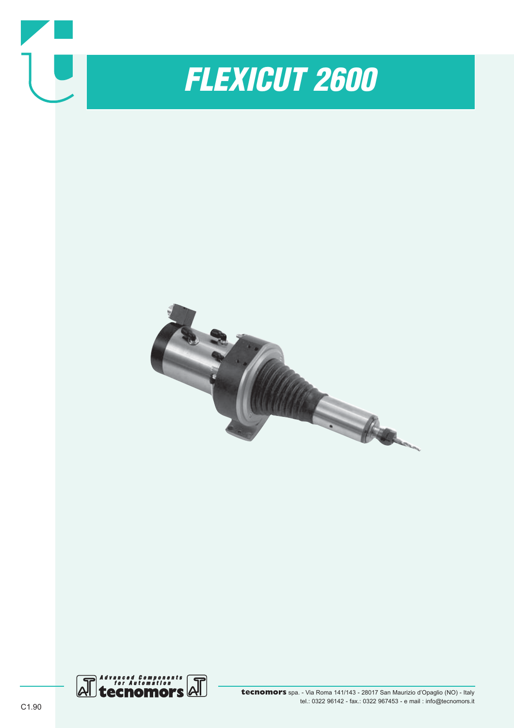

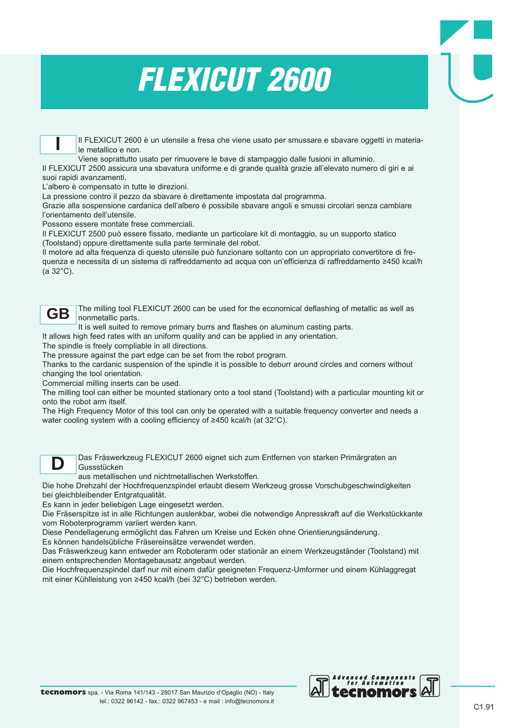

Il FLEXICUT 2600 è un utensile a fresa che viene usato per smussare e sbavare oggetti in materiale metallico e non.

Viene soprattutto usato per rimuovere le bave di stampaggio dalle fusioni in alluminio.

Il FLEXICUT 2500 assicura una sbavatura uniforme e di grande qualità grazie all'elevato numero di giri e ai suoi rapidi avanzamenti.

L'albero è compensato in tutte le direzioni.

La pressione contro il pezzo da sbavare è direttamente impostata dal programma.

Grazie alla sospensione cardanica dell'albero è possibile sbavare angoli e smussi circolari senza cambiare l'orientamento dell'utensile.

Possono essere montate frese commerciali.

Il FLEXICUT 2500 può essere fissato, mediante un particolare kit di montaggio, su un supporto statico (Toolstand) oppure direttamente sulla parte terminale del robot.

Il motore ad alta frequenza di questo utensile può funzionare soltanto con un appropriato convertitore di frequenza e necessita di un sistema di raffreddamento ad acqua con un'efficienza di raffreddamento ≥450 kcal/h (a 32°C).



The milling tool FLEXICUT 2600 can be used for the economical deflashing of metallic as well as nonmetallic parts.

It is well suited to remove primary burrs and flashes on aluminum casting parts.

It allows high feed rates with an uniform quality and can be applied in any orientation.

The spindle is freely compliable in all directions.

The pressure against the part edge can be set from the robot program.

Thanks to the cardanic suspension of the spindle it is possible to deburr around circles and corners without changing the tool orientation.

Commercial milling inserts can be used.

The milling tool can either be mounted stationary onto a tool stand (Toolstand) with a particular mounting kit or onto the robot arm itself.

The High Frequency Motor of this tool can only be operated with a suitable frequency converter and needs a water cooling system with a cooling efficiency of ≥450 kcal/h (at 32°C).



Das Fräswerkzeug FLEXICUT 2600 eignet sich zum Entfernen von starken Primärgraten an Gussstücken

aus metallischen und nichtmetallischen Werkstoffen.

Die hohe Drehzahl der Hochfrequenzspindel erlaubt diesem Werkzeug grosse Vorschubgeschwindigkeiten bei gleichbleibender Entgratqualität.

Es kann in jeder beliebigen Lage eingesetzt werden.

Die Fräserspitze ist in alle Richtungen auslenkbar, wobei die notwendige Anpresskraft auf die Werkstückkante vom Roboterprogramm variiert werden kann.

Diese Pendellagerung ermöglicht das Fahren um Kreise und Ecken ohne Orientierungsänderung.

Es können handelsübliche Fräsereinsätze verwendet werden. Das Fräswerkzeug kann entweder am Roboterarm oder stationär an einem Werkzeugständer (Toolstand) mit einem entsprechenden Montagebausatz angebaut werden.

Die Hochfrequenzspindel darf nur mit einem dafür geeigneten Frequenz-Umformer und einem Kühlaggregat mit einer Kühlleistung von ≥450 kcal/h (bei 32°C) betrieben werden.

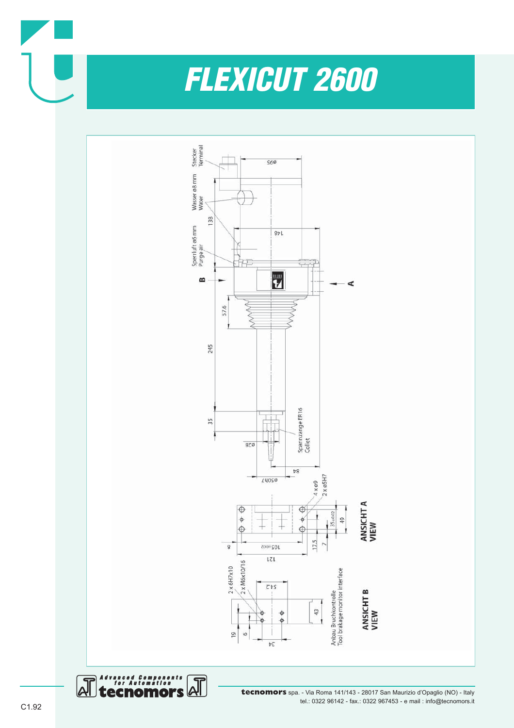